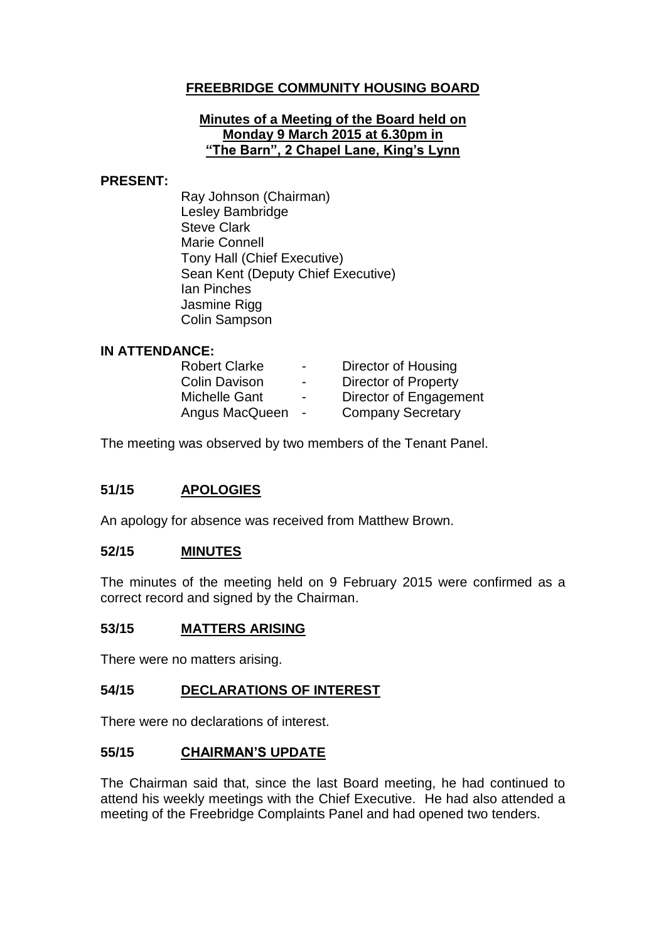# **FREEBRIDGE COMMUNITY HOUSING BOARD**

#### **Minutes of a Meeting of the Board held on Monday 9 March 2015 at 6.30pm in "The Barn", 2 Chapel Lane, King's Lynn**

#### **PRESENT:**

Ray Johnson (Chairman) Lesley Bambridge Steve Clark Marie Connell Tony Hall (Chief Executive) Sean Kent (Deputy Chief Executive) Ian Pinches Jasmine Rigg Colin Sampson

## **IN ATTENDANCE:**

| <b>Robert Clarke</b> | $\blacksquare$           | Director of Housing         |
|----------------------|--------------------------|-----------------------------|
| <b>Colin Davison</b> | $\blacksquare$           | <b>Director of Property</b> |
| Michelle Gant        | $\overline{\phantom{0}}$ | Director of Engagement      |
| Angus MacQueen       | $\blacksquare$           | <b>Company Secretary</b>    |

The meeting was observed by two members of the Tenant Panel.

## **51/15 APOLOGIES**

An apology for absence was received from Matthew Brown.

#### **52/15 MINUTES**

The minutes of the meeting held on 9 February 2015 were confirmed as a correct record and signed by the Chairman.

#### **53/15 MATTERS ARISING**

There were no matters arising.

#### **54/15 DECLARATIONS OF INTEREST**

There were no declarations of interest.

#### **55/15 CHAIRMAN'S UPDATE**

The Chairman said that, since the last Board meeting, he had continued to attend his weekly meetings with the Chief Executive. He had also attended a meeting of the Freebridge Complaints Panel and had opened two tenders.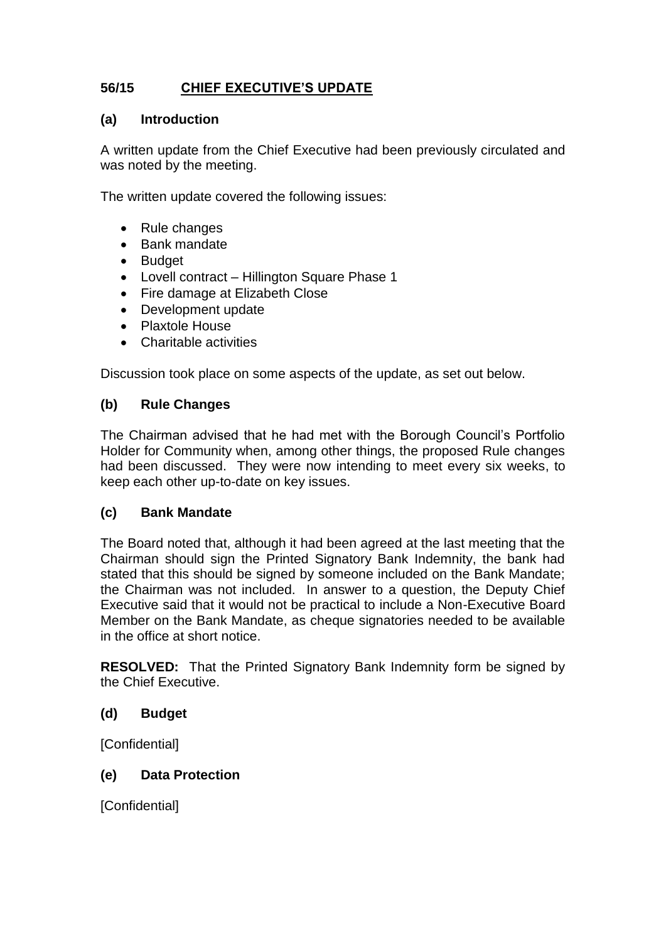# **56/15 CHIEF EXECUTIVE'S UPDATE**

# **(a) Introduction**

A written update from the Chief Executive had been previously circulated and was noted by the meeting.

The written update covered the following issues:

- Rule changes
- Bank mandate
- Budget
- Lovell contract Hillington Square Phase 1
- Fire damage at Elizabeth Close
- Development update
- Plaxtole House
- Charitable activities

Discussion took place on some aspects of the update, as set out below.

# **(b) Rule Changes**

The Chairman advised that he had met with the Borough Council's Portfolio Holder for Community when, among other things, the proposed Rule changes had been discussed. They were now intending to meet every six weeks, to keep each other up-to-date on key issues.

## **(c) Bank Mandate**

The Board noted that, although it had been agreed at the last meeting that the Chairman should sign the Printed Signatory Bank Indemnity, the bank had stated that this should be signed by someone included on the Bank Mandate; the Chairman was not included. In answer to a question, the Deputy Chief Executive said that it would not be practical to include a Non-Executive Board Member on the Bank Mandate, as cheque signatories needed to be available in the office at short notice.

**RESOLVED:** That the Printed Signatory Bank Indemnity form be signed by the Chief Executive.

# **(d) Budget**

**[Confidential]** 

## **(e) Data Protection**

[Confidential]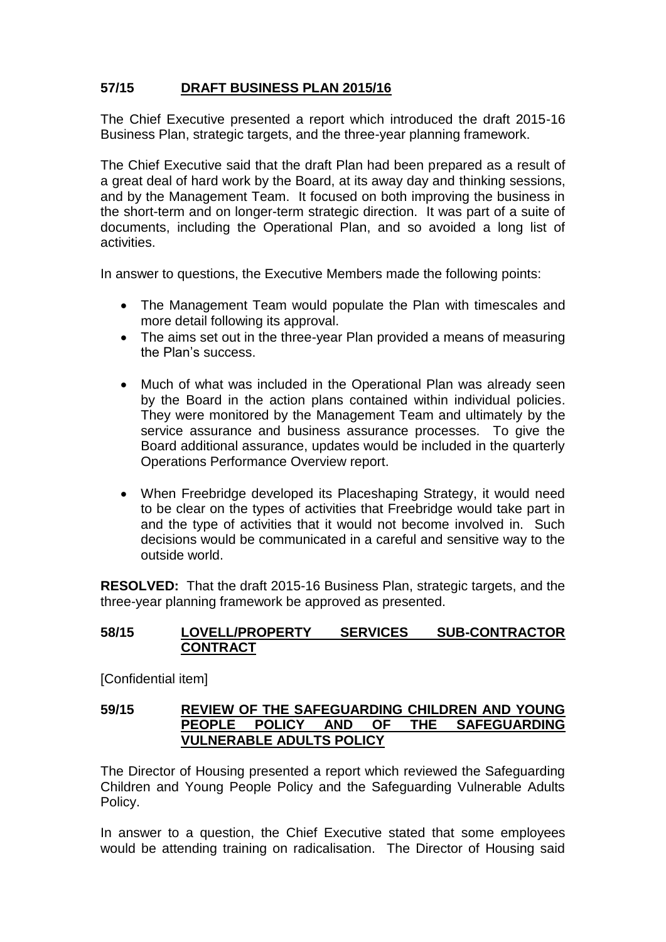# **57/15 DRAFT BUSINESS PLAN 2015/16**

The Chief Executive presented a report which introduced the draft 2015-16 Business Plan, strategic targets, and the three-year planning framework.

The Chief Executive said that the draft Plan had been prepared as a result of a great deal of hard work by the Board, at its away day and thinking sessions, and by the Management Team. It focused on both improving the business in the short-term and on longer-term strategic direction. It was part of a suite of documents, including the Operational Plan, and so avoided a long list of activities.

In answer to questions, the Executive Members made the following points:

- The Management Team would populate the Plan with timescales and more detail following its approval.
- The aims set out in the three-year Plan provided a means of measuring the Plan's success.
- Much of what was included in the Operational Plan was already seen by the Board in the action plans contained within individual policies. They were monitored by the Management Team and ultimately by the service assurance and business assurance processes. To give the Board additional assurance, updates would be included in the quarterly Operations Performance Overview report.
- When Freebridge developed its Placeshaping Strategy, it would need to be clear on the types of activities that Freebridge would take part in and the type of activities that it would not become involved in. Such decisions would be communicated in a careful and sensitive way to the outside world.

**RESOLVED:** That the draft 2015-16 Business Plan, strategic targets, and the three-year planning framework be approved as presented.

# **58/15 LOVELL/PROPERTY SERVICES SUB-CONTRACTOR CONTRACT**

[Confidential item]

#### **59/15 REVIEW OF THE SAFEGUARDING CHILDREN AND YOUNG PEOPLE POLICY AND OF THE SAFEGUARDING VULNERABLE ADULTS POLICY**

The Director of Housing presented a report which reviewed the Safeguarding Children and Young People Policy and the Safeguarding Vulnerable Adults Policy.

In answer to a question, the Chief Executive stated that some employees would be attending training on radicalisation. The Director of Housing said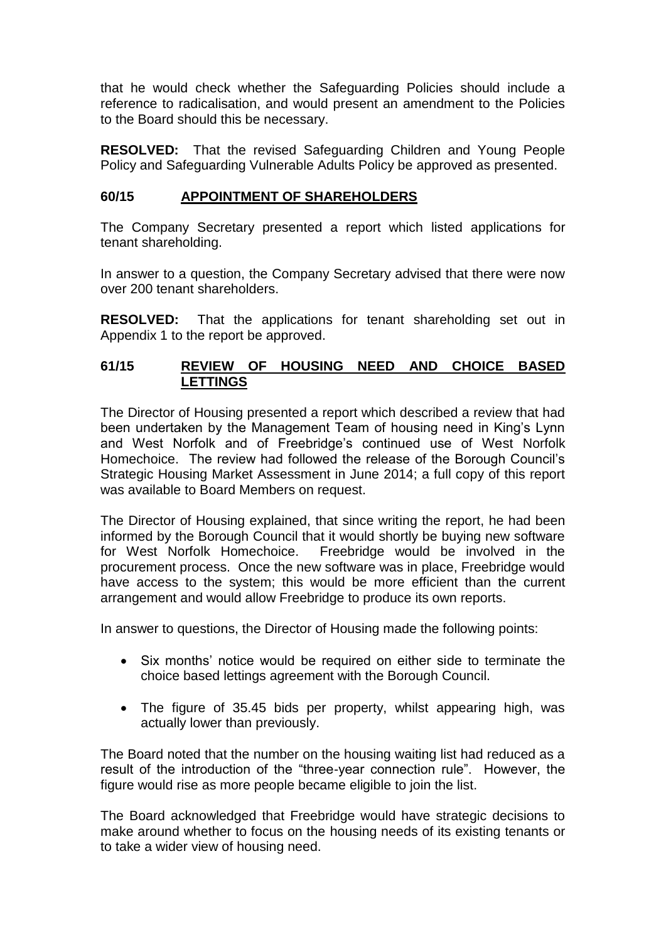that he would check whether the Safeguarding Policies should include a reference to radicalisation, and would present an amendment to the Policies to the Board should this be necessary.

**RESOLVED:** That the revised Safeguarding Children and Young People Policy and Safeguarding Vulnerable Adults Policy be approved as presented.

## **60/15 APPOINTMENT OF SHAREHOLDERS**

The Company Secretary presented a report which listed applications for tenant shareholding.

In answer to a question, the Company Secretary advised that there were now over 200 tenant shareholders.

**RESOLVED:** That the applications for tenant shareholding set out in Appendix 1 to the report be approved.

# **61/15 REVIEW OF HOUSING NEED AND CHOICE BASED LETTINGS**

The Director of Housing presented a report which described a review that had been undertaken by the Management Team of housing need in King's Lynn and West Norfolk and of Freebridge's continued use of West Norfolk Homechoice. The review had followed the release of the Borough Council's Strategic Housing Market Assessment in June 2014; a full copy of this report was available to Board Members on request.

The Director of Housing explained, that since writing the report, he had been informed by the Borough Council that it would shortly be buying new software for West Norfolk Homechoice. Freebridge would be involved in the procurement process. Once the new software was in place, Freebridge would have access to the system; this would be more efficient than the current arrangement and would allow Freebridge to produce its own reports.

In answer to questions, the Director of Housing made the following points:

- Six months' notice would be required on either side to terminate the choice based lettings agreement with the Borough Council.
- The figure of 35.45 bids per property, whilst appearing high, was actually lower than previously.

The Board noted that the number on the housing waiting list had reduced as a result of the introduction of the "three-year connection rule". However, the figure would rise as more people became eligible to join the list.

The Board acknowledged that Freebridge would have strategic decisions to make around whether to focus on the housing needs of its existing tenants or to take a wider view of housing need.